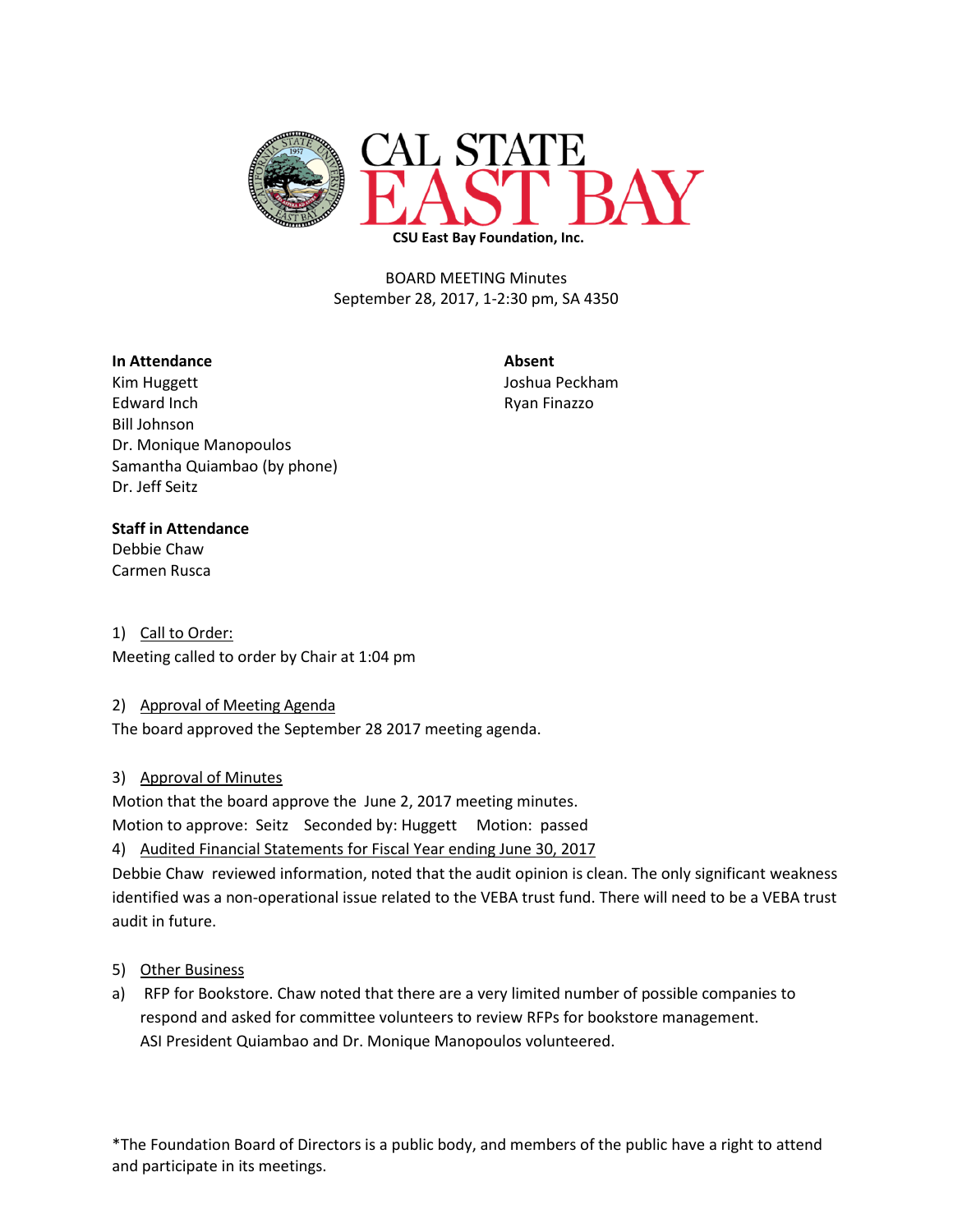

BOARD MEETING Minutes September 28, 2017, 1-2:30 pm, SA 4350

#### **In Attendance Absent**

Kim Huggett **All Accords** Contact Contact Accords Accords Accords Accords Accords Accords Accords Accords Accord Edward Inch **Ryan Finazzo** Bill Johnson Dr. Monique Manopoulos Samantha Quiambao (by phone) Dr. Jeff Seitz

### **Staff in Attendance**

Debbie Chaw Carmen Rusca

1) Call to Order: Meeting called to order by Chair at 1:04 pm

### 2) Approval of Meeting Agenda

The board approved the September 28 2017 meeting agenda.

# 3) Approval of Minutes

Motion that the board approve the June 2, 2017 meeting minutes.

Motion to approve: Seitz Seconded by: Huggett Motion: passed

4) Audited Financial Statements for Fiscal Year ending June 30, 2017 Debbie Chaw reviewed information, noted that the audit opinion is clean. The only significant weakness

identified was a non-operational issue related to the VEBA trust fund. There will need to be a VEBA trust audit in future.

# 5) Other Business

a) RFP for Bookstore. Chaw noted that there are a very limited number of possible companies to respond and asked for committee volunteers to review RFPs for bookstore management. ASI President Quiambao and Dr. Monique Manopoulos volunteered.

\*The Foundation Board of Directors is a public body, and members of the public have a right to attend and participate in its meetings.